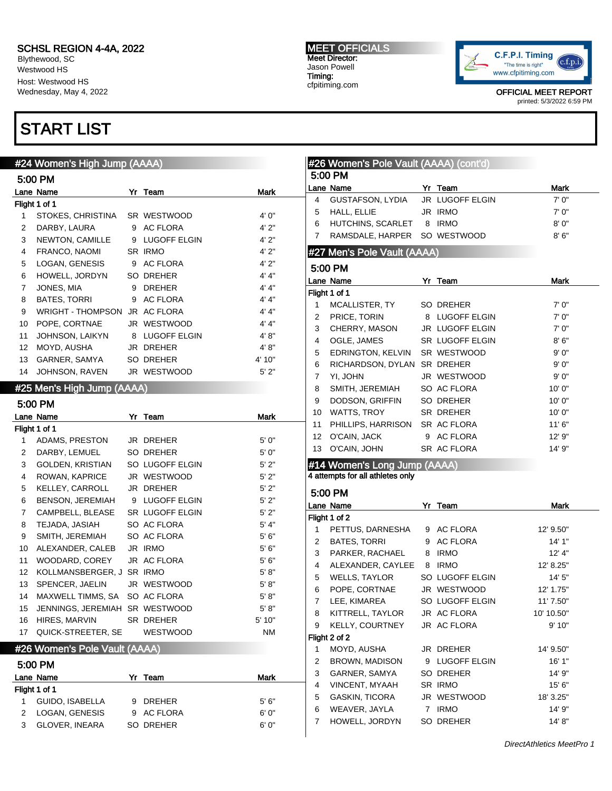Blythewood, SC Westwood HS Host: Westwood HS Wednesday, May 4, 2022

### START LIST

### #24 Women's High Jump (AAAA)

|    | 5:00 PM                  |   |                     |        |
|----|--------------------------|---|---------------------|--------|
|    | Lane Name                |   | Yr Team             | Mark   |
|    | Flight 1 of 1            |   |                     |        |
| 1  | STOKES, CHRISTINA        |   | SR WESTWOOD         | 4'0''  |
| 2  | DARBY, LAURA             | 9 | <b>AC FLORA</b>     | 4'2"   |
| 3  | NEWTON, CAMILLE          | 9 | <b>LUGOFF ELGIN</b> | 4'2"   |
| 4  | FRANCO, NAOMI            |   | SR IRMO             | 4'2"   |
| 5  | LOGAN, GENESIS           | 9 | AC FLORA            | 4'2"   |
| 6  | HOWELL, JORDYN           |   | SO DREHER           | 4' 4"  |
| 7  | JONES, MIA               | 9 | <b>DREHER</b>       | 4' 4'' |
| 8  | <b>BATES, TORRI</b>      | 9 | <b>AC FLORA</b>     | 4' 4'' |
| 9  | <b>WRIGHT - THOMPSON</b> |   | JR AC FLORA         | 4' 4'' |
| 10 | POPE, CORTNAE            |   | JR WESTWOOD         | 4' 4"  |
| 11 | JOHNSON, LAIKYN          | 8 | <b>LUGOFF ELGIN</b> | 4' 8'' |
| 12 | MOYD, AUSHA              |   | <b>JR DREHER</b>    | 4' 8'' |
| 13 | GARNER, SAMYA            |   | SO DREHER           | 4' 10" |
| 14 | JOHNSON, RAVEN           |   | JR WESTWOOD         | 5'2"   |

#### #25 Men's High Jump (AAAA)

|                 | 5:00 PM                   |    |                        |           |
|-----------------|---------------------------|----|------------------------|-----------|
|                 | Lane Name                 | Yr | Team                   | Mark      |
|                 | Flight 1 of 1             |    |                        |           |
| 1               | ADAMS, PRESTON            |    | JR DREHER              | 5'0''     |
| $\overline{2}$  | DARBY, LEMUEL             |    | SO DREHER              | 5'0''     |
| 3               | GOLDEN, KRISTIAN          |    | SO LUGOFF ELGIN        | 5'2"      |
| 4               | ROWAN, KAPRICE            |    | JR WESTWOOD            | 5'2"      |
| 5               | KELLEY, CARROLL           |    | JR DREHER              | 5'2"      |
| 6               | BENSON, JEREMIAH          |    | 9 LUGOFF ELGIN         | 5'2"      |
| $\overline{7}$  | CAMPBELL, BLEASE          |    | <b>SR LUGOFF ELGIN</b> | 5'2"      |
| 8               | TEJADA, JASIAH            |    | SO AC FLORA            | 5' 4"     |
| 9               | SMITH, JEREMIAH           |    | SO AC FLORA            | 5'6''     |
| 10              | ALEXANDER, CALEB          |    | JR IRMO                | 5'6''     |
| 11              | WOODARD, COREY            |    | JR AC FLORA            | 5'6''     |
| 12 <sup>°</sup> | KOLLMANSBERGER, J SR IRMO |    |                        | 5' 8''    |
| 13              | SPENCER, JAELIN           |    | JR WESTWOOD            | 5' 8''    |
| 14              | MAXWELL TIMMS, SA         |    | SO AC FLORA            | 5' 8''    |
| 15              | JENNINGS, JEREMIAH        |    | SR WESTWOOD            | 5' 8''    |
| 16              | HIRES, MARVIN             |    | SR DREHER              | 5' 10"    |
| 17              | QUICK-STREETER, SE        |    | <b>WESTWOOD</b>        | <b>NM</b> |

### #26 Women's Pole Vault (AAAA)

#### 5:00 PM

|               | Lane Name             | Yr | Team       | Mark  |
|---------------|-----------------------|----|------------|-------|
| Flight 1 of 1 |                       |    |            |       |
|               | GUIDO, ISABELLA       |    | 9 DREHER   | 5'6'' |
|               | LOGAN, GENESIS        |    | 9 AC FLORA | 6' 0" |
|               | <b>GLOVER, INEARA</b> |    | SO DREHER  | 6'0'' |

#### MEET OFFICIALS Meet Director: Jason Powell Timing: cfpitiming.com



OFFICIAL MEET REPORT printed: 5/3/2022 6:59 PM

|                                                                                                                                                                                                                                                                                                                                                                                                                                                                                                                                                                                                                                                                                                                                                                                                                                                                                                                                                                                                                                                                                                                                                                                                                                                                                                                                                                                                                                                                                                                                                                                                                                                                                                                                                                        |                       |             |             | Mark      |
|------------------------------------------------------------------------------------------------------------------------------------------------------------------------------------------------------------------------------------------------------------------------------------------------------------------------------------------------------------------------------------------------------------------------------------------------------------------------------------------------------------------------------------------------------------------------------------------------------------------------------------------------------------------------------------------------------------------------------------------------------------------------------------------------------------------------------------------------------------------------------------------------------------------------------------------------------------------------------------------------------------------------------------------------------------------------------------------------------------------------------------------------------------------------------------------------------------------------------------------------------------------------------------------------------------------------------------------------------------------------------------------------------------------------------------------------------------------------------------------------------------------------------------------------------------------------------------------------------------------------------------------------------------------------------------------------------------------------------------------------------------------------|-----------------------|-------------|-------------|-----------|
| 4                                                                                                                                                                                                                                                                                                                                                                                                                                                                                                                                                                                                                                                                                                                                                                                                                                                                                                                                                                                                                                                                                                                                                                                                                                                                                                                                                                                                                                                                                                                                                                                                                                                                                                                                                                      | GUSTAFSON, LYDIA      |             |             | 7'0''     |
| 5                                                                                                                                                                                                                                                                                                                                                                                                                                                                                                                                                                                                                                                                                                                                                                                                                                                                                                                                                                                                                                                                                                                                                                                                                                                                                                                                                                                                                                                                                                                                                                                                                                                                                                                                                                      | HALL, ELLIE           |             |             | 7'0''     |
| #26 Women's Pole Vault (AAAA) (cont'd)<br>5:00 PM<br>Lane Name<br>Yr Team<br>JR LUGOFF ELGIN<br>JR IRMO<br>HUTCHINS, SCARLET<br>8 IRMO<br>8'0''<br>6<br>7<br>RAMSDALE, HARPER<br>SO WESTWOOD<br>8'6''<br>#27 Men's Pole Vault (AAAA)<br>5:00 PM<br><b>Mark</b><br>Lane Name<br>YΓ<br>Team<br>Flight 1 of 1<br>7'0''<br>1<br>MCALLISTER, TY<br>SO DREHER<br>PRICE, TORIN<br>8 LUGOFF ELGIN<br>7'0''<br>2<br>3<br>CHERRY, MASON<br>JR LUGOFF ELGIN<br>7'0''<br>8'6''<br>4<br>OGLE, JAMES<br>SR LUGOFF ELGIN<br>EDRINGTON, KELVIN<br>SR WESTWOOD<br>9'0''<br>5<br>RICHARDSON, DYLAN<br>SR DREHER<br>9'0''<br>6<br>7<br>YI, JOHN<br>JR WESTWOOD<br>9'0''<br>SMITH, JEREMIAH<br>SO AC FLORA<br>10'0''<br>8<br>DODSON, GRIFFIN<br>SO DREHER<br>10'0''<br>9<br>WATTS, TROY<br>SR DREHER<br>10'0"<br>10<br>PHILLIPS, HARRISON<br>SR AC FLORA<br>11'6"<br>11<br>O'CAIN, JACK<br>9 AC FLORA<br>12' 9"<br>12<br>O'CAIN, JOHN<br>SR AC FLORA<br>14' 9"<br>13<br>#14 Women's Long Jump (AAAA)<br>4 attempts for all athletes only<br>5:00 PM<br><b>Mark</b><br>Lane Name<br>Yr<br>Team<br>Flight 1 of 2<br>1.<br>PETTUS, DARNESHA<br>9 AC FLORA<br>12' 9.50"<br>9 AC FLORA<br>2<br><b>BATES, TORRI</b><br>14' 1"<br>3<br>PARKER, RACHAEL<br>8 IRMO<br>12' 4"<br>4<br>ALEXANDER, CAYLEE<br>8<br><b>IRMO</b><br>12' 8.25"<br>5<br>14' 5"<br>WELLS, TAYLOR<br>SO LUGOFF ELGIN<br>POPE, CORTNAE<br>JR WESTWOOD<br>6<br>12' 1.75"<br>7<br>LEE, KIMAREA<br>SO LUGOFF ELGIN<br>11' 7.50"<br>KITTRELL, TAYLOR<br>8<br>JR AC FLORA<br>10' 10.50"<br>9<br><b>KELLY, COURTNEY</b><br>JR AC FLORA<br>9' 10"<br>Flight 2 of 2<br>MOYD, AUSHA<br>1<br>JR DREHER<br>14' 9.50"<br>2<br><b>BROWN, MADISON</b><br>LUGOFF ELGIN<br>16' 1"<br>9<br>3<br>GARNER, SAMYA<br>SO DREHER<br>14' 9"<br>SR IRMO |                       |             |             |           |
|                                                                                                                                                                                                                                                                                                                                                                                                                                                                                                                                                                                                                                                                                                                                                                                                                                                                                                                                                                                                                                                                                                                                                                                                                                                                                                                                                                                                                                                                                                                                                                                                                                                                                                                                                                        |                       |             |             |           |
|                                                                                                                                                                                                                                                                                                                                                                                                                                                                                                                                                                                                                                                                                                                                                                                                                                                                                                                                                                                                                                                                                                                                                                                                                                                                                                                                                                                                                                                                                                                                                                                                                                                                                                                                                                        |                       |             |             |           |
|                                                                                                                                                                                                                                                                                                                                                                                                                                                                                                                                                                                                                                                                                                                                                                                                                                                                                                                                                                                                                                                                                                                                                                                                                                                                                                                                                                                                                                                                                                                                                                                                                                                                                                                                                                        |                       |             |             |           |
|                                                                                                                                                                                                                                                                                                                                                                                                                                                                                                                                                                                                                                                                                                                                                                                                                                                                                                                                                                                                                                                                                                                                                                                                                                                                                                                                                                                                                                                                                                                                                                                                                                                                                                                                                                        |                       |             |             |           |
|                                                                                                                                                                                                                                                                                                                                                                                                                                                                                                                                                                                                                                                                                                                                                                                                                                                                                                                                                                                                                                                                                                                                                                                                                                                                                                                                                                                                                                                                                                                                                                                                                                                                                                                                                                        |                       |             |             |           |
|                                                                                                                                                                                                                                                                                                                                                                                                                                                                                                                                                                                                                                                                                                                                                                                                                                                                                                                                                                                                                                                                                                                                                                                                                                                                                                                                                                                                                                                                                                                                                                                                                                                                                                                                                                        |                       |             |             |           |
|                                                                                                                                                                                                                                                                                                                                                                                                                                                                                                                                                                                                                                                                                                                                                                                                                                                                                                                                                                                                                                                                                                                                                                                                                                                                                                                                                                                                                                                                                                                                                                                                                                                                                                                                                                        |                       |             |             |           |
|                                                                                                                                                                                                                                                                                                                                                                                                                                                                                                                                                                                                                                                                                                                                                                                                                                                                                                                                                                                                                                                                                                                                                                                                                                                                                                                                                                                                                                                                                                                                                                                                                                                                                                                                                                        |                       |             |             |           |
|                                                                                                                                                                                                                                                                                                                                                                                                                                                                                                                                                                                                                                                                                                                                                                                                                                                                                                                                                                                                                                                                                                                                                                                                                                                                                                                                                                                                                                                                                                                                                                                                                                                                                                                                                                        |                       |             |             |           |
|                                                                                                                                                                                                                                                                                                                                                                                                                                                                                                                                                                                                                                                                                                                                                                                                                                                                                                                                                                                                                                                                                                                                                                                                                                                                                                                                                                                                                                                                                                                                                                                                                                                                                                                                                                        |                       |             |             |           |
|                                                                                                                                                                                                                                                                                                                                                                                                                                                                                                                                                                                                                                                                                                                                                                                                                                                                                                                                                                                                                                                                                                                                                                                                                                                                                                                                                                                                                                                                                                                                                                                                                                                                                                                                                                        |                       |             |             |           |
|                                                                                                                                                                                                                                                                                                                                                                                                                                                                                                                                                                                                                                                                                                                                                                                                                                                                                                                                                                                                                                                                                                                                                                                                                                                                                                                                                                                                                                                                                                                                                                                                                                                                                                                                                                        |                       |             |             |           |
|                                                                                                                                                                                                                                                                                                                                                                                                                                                                                                                                                                                                                                                                                                                                                                                                                                                                                                                                                                                                                                                                                                                                                                                                                                                                                                                                                                                                                                                                                                                                                                                                                                                                                                                                                                        |                       |             |             |           |
|                                                                                                                                                                                                                                                                                                                                                                                                                                                                                                                                                                                                                                                                                                                                                                                                                                                                                                                                                                                                                                                                                                                                                                                                                                                                                                                                                                                                                                                                                                                                                                                                                                                                                                                                                                        |                       |             |             |           |
|                                                                                                                                                                                                                                                                                                                                                                                                                                                                                                                                                                                                                                                                                                                                                                                                                                                                                                                                                                                                                                                                                                                                                                                                                                                                                                                                                                                                                                                                                                                                                                                                                                                                                                                                                                        |                       |             |             |           |
|                                                                                                                                                                                                                                                                                                                                                                                                                                                                                                                                                                                                                                                                                                                                                                                                                                                                                                                                                                                                                                                                                                                                                                                                                                                                                                                                                                                                                                                                                                                                                                                                                                                                                                                                                                        |                       |             |             |           |
|                                                                                                                                                                                                                                                                                                                                                                                                                                                                                                                                                                                                                                                                                                                                                                                                                                                                                                                                                                                                                                                                                                                                                                                                                                                                                                                                                                                                                                                                                                                                                                                                                                                                                                                                                                        |                       |             |             |           |
|                                                                                                                                                                                                                                                                                                                                                                                                                                                                                                                                                                                                                                                                                                                                                                                                                                                                                                                                                                                                                                                                                                                                                                                                                                                                                                                                                                                                                                                                                                                                                                                                                                                                                                                                                                        |                       |             |             |           |
|                                                                                                                                                                                                                                                                                                                                                                                                                                                                                                                                                                                                                                                                                                                                                                                                                                                                                                                                                                                                                                                                                                                                                                                                                                                                                                                                                                                                                                                                                                                                                                                                                                                                                                                                                                        |                       |             |             |           |
|                                                                                                                                                                                                                                                                                                                                                                                                                                                                                                                                                                                                                                                                                                                                                                                                                                                                                                                                                                                                                                                                                                                                                                                                                                                                                                                                                                                                                                                                                                                                                                                                                                                                                                                                                                        |                       |             |             |           |
|                                                                                                                                                                                                                                                                                                                                                                                                                                                                                                                                                                                                                                                                                                                                                                                                                                                                                                                                                                                                                                                                                                                                                                                                                                                                                                                                                                                                                                                                                                                                                                                                                                                                                                                                                                        |                       |             |             |           |
|                                                                                                                                                                                                                                                                                                                                                                                                                                                                                                                                                                                                                                                                                                                                                                                                                                                                                                                                                                                                                                                                                                                                                                                                                                                                                                                                                                                                                                                                                                                                                                                                                                                                                                                                                                        |                       |             |             |           |
|                                                                                                                                                                                                                                                                                                                                                                                                                                                                                                                                                                                                                                                                                                                                                                                                                                                                                                                                                                                                                                                                                                                                                                                                                                                                                                                                                                                                                                                                                                                                                                                                                                                                                                                                                                        |                       |             |             |           |
|                                                                                                                                                                                                                                                                                                                                                                                                                                                                                                                                                                                                                                                                                                                                                                                                                                                                                                                                                                                                                                                                                                                                                                                                                                                                                                                                                                                                                                                                                                                                                                                                                                                                                                                                                                        |                       |             |             |           |
|                                                                                                                                                                                                                                                                                                                                                                                                                                                                                                                                                                                                                                                                                                                                                                                                                                                                                                                                                                                                                                                                                                                                                                                                                                                                                                                                                                                                                                                                                                                                                                                                                                                                                                                                                                        |                       |             |             |           |
|                                                                                                                                                                                                                                                                                                                                                                                                                                                                                                                                                                                                                                                                                                                                                                                                                                                                                                                                                                                                                                                                                                                                                                                                                                                                                                                                                                                                                                                                                                                                                                                                                                                                                                                                                                        |                       |             |             |           |
|                                                                                                                                                                                                                                                                                                                                                                                                                                                                                                                                                                                                                                                                                                                                                                                                                                                                                                                                                                                                                                                                                                                                                                                                                                                                                                                                                                                                                                                                                                                                                                                                                                                                                                                                                                        |                       |             |             |           |
|                                                                                                                                                                                                                                                                                                                                                                                                                                                                                                                                                                                                                                                                                                                                                                                                                                                                                                                                                                                                                                                                                                                                                                                                                                                                                                                                                                                                                                                                                                                                                                                                                                                                                                                                                                        |                       |             |             |           |
|                                                                                                                                                                                                                                                                                                                                                                                                                                                                                                                                                                                                                                                                                                                                                                                                                                                                                                                                                                                                                                                                                                                                                                                                                                                                                                                                                                                                                                                                                                                                                                                                                                                                                                                                                                        |                       |             |             |           |
|                                                                                                                                                                                                                                                                                                                                                                                                                                                                                                                                                                                                                                                                                                                                                                                                                                                                                                                                                                                                                                                                                                                                                                                                                                                                                                                                                                                                                                                                                                                                                                                                                                                                                                                                                                        |                       |             |             |           |
|                                                                                                                                                                                                                                                                                                                                                                                                                                                                                                                                                                                                                                                                                                                                                                                                                                                                                                                                                                                                                                                                                                                                                                                                                                                                                                                                                                                                                                                                                                                                                                                                                                                                                                                                                                        |                       |             |             |           |
|                                                                                                                                                                                                                                                                                                                                                                                                                                                                                                                                                                                                                                                                                                                                                                                                                                                                                                                                                                                                                                                                                                                                                                                                                                                                                                                                                                                                                                                                                                                                                                                                                                                                                                                                                                        |                       |             |             |           |
|                                                                                                                                                                                                                                                                                                                                                                                                                                                                                                                                                                                                                                                                                                                                                                                                                                                                                                                                                                                                                                                                                                                                                                                                                                                                                                                                                                                                                                                                                                                                                                                                                                                                                                                                                                        |                       |             |             |           |
|                                                                                                                                                                                                                                                                                                                                                                                                                                                                                                                                                                                                                                                                                                                                                                                                                                                                                                                                                                                                                                                                                                                                                                                                                                                                                                                                                                                                                                                                                                                                                                                                                                                                                                                                                                        |                       |             |             |           |
|                                                                                                                                                                                                                                                                                                                                                                                                                                                                                                                                                                                                                                                                                                                                                                                                                                                                                                                                                                                                                                                                                                                                                                                                                                                                                                                                                                                                                                                                                                                                                                                                                                                                                                                                                                        |                       |             |             |           |
|                                                                                                                                                                                                                                                                                                                                                                                                                                                                                                                                                                                                                                                                                                                                                                                                                                                                                                                                                                                                                                                                                                                                                                                                                                                                                                                                                                                                                                                                                                                                                                                                                                                                                                                                                                        |                       |             |             |           |
| 4                                                                                                                                                                                                                                                                                                                                                                                                                                                                                                                                                                                                                                                                                                                                                                                                                                                                                                                                                                                                                                                                                                                                                                                                                                                                                                                                                                                                                                                                                                                                                                                                                                                                                                                                                                      | VINCENT, MYAAH        |             |             | 15' 6"    |
| 5                                                                                                                                                                                                                                                                                                                                                                                                                                                                                                                                                                                                                                                                                                                                                                                                                                                                                                                                                                                                                                                                                                                                                                                                                                                                                                                                                                                                                                                                                                                                                                                                                                                                                                                                                                      | <b>GASKIN, TICORA</b> |             | JR WESTWOOD | 18' 3.25" |
| 6                                                                                                                                                                                                                                                                                                                                                                                                                                                                                                                                                                                                                                                                                                                                                                                                                                                                                                                                                                                                                                                                                                                                                                                                                                                                                                                                                                                                                                                                                                                                                                                                                                                                                                                                                                      | WEAVER, JAYLA         | $7^{\circ}$ | <b>IRMO</b> | 14' 9"    |

7 HOWELL, JORDYN SO DREHER 14' 8"

DirectAthletics MeetPro 1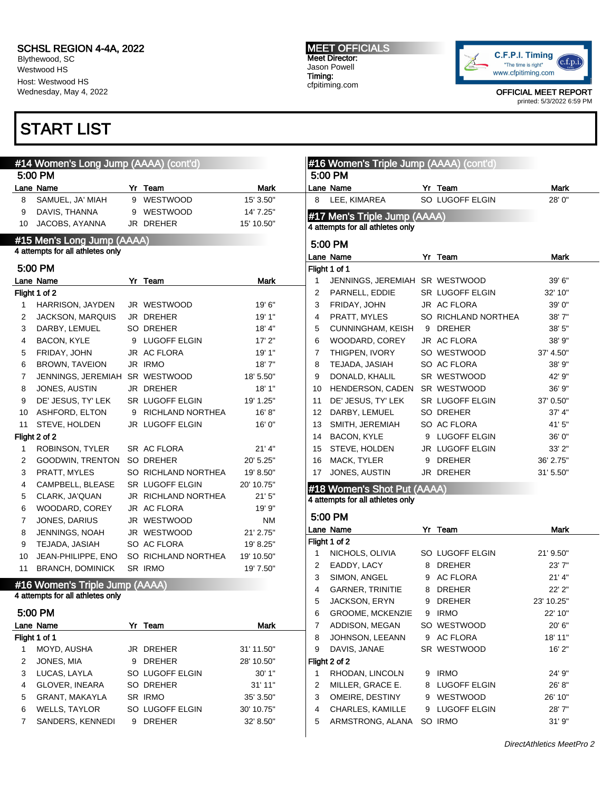Blythewood, SC Westwood HS Host: Westwood HS Wednesday, May 4, 2022

### START LIST

7 SANDERS, KENNEDI 9 DREHER 32' 8.50"

#### #14 Women's Long Jump (AAAA) (cont'd) 5:00 PM Lane Name **Mark** Yr Team **Mark** Mark 8 SAMUEL, JA' MIAH 9 WESTWOOD 15' 3.50" 9 DAVIS, THANNA 9 WESTWOOD 14' 7.25" 10 JACOBS, AYANNA JR DREHER 15' 10.50" #15 Men's Long Jump (AAAA) 4 attempts for all athletes only 5:00 PM Lane Name **Mark** Yr Team **Mark** Mark Flight 1 of 2 1 HARRISON, JAYDEN JR WESTWOOD 19' 6" 2 JACKSON, MARQUIS JR DREHER 19' 1" 3 DARBY, LEMUEL SO DREHER 18' 4" 4 BACON, KYLE 9 LUGOFF ELGIN 17' 2" 5 FRIDAY, JOHN JR AC FLORA 19' 1" 6 BROWN, TAVEION JR IRMO 18' 7" 7 JENNINGS, JEREMIAH SR WESTWOOD 18' 5.50" 8 JONES, AUSTIN JR DREHER 18' 1" 9 DE' JESUS, TY' LEK SR LUGOFF ELGIN 19' 1.25" 10 ASHFORD, ELTON 9 RICHLAND NORTHEA 16' 8" 11 STEVE, HOLDEN JR LUGOFF ELGIN 16' 0" Flight 2 of 2 1 ROBINSON, TYLER SR AC FLORA 21' 4" 2 GOODWIN, TRENTON SO DREHER 20' 5.25" 3 PRATT, MYLES SO RICHLAND NORTHEA 19' 8.50" 4 CAMPBELL, BLEASE SR LUGOFF ELGIN 20' 10.75" 5 CLARK, JA'QUAN JR RICHLAND NORTHEA 21' 5" 6 WOODARD, COREY JR AC FLORA 19' 9" 7 JONES, DARIUS JR WESTWOOD NM 8 JENNINGS, NOAH JR WESTWOOD 21' 2.75' 9 TEJADA, JASIAH SO AC FLORA 19' 8.25' 10 JEAN-PHILIPPE, ENO SO RICHLAND NORTHEA 19' 10.50" 11 BRANCH, DOMINICK SR IRMO 19' 7.50" #16 Women's Triple Jump (AAAA) 4 attempts for all athletes only 5:00 PM Lane Name **Name** Yr Team **Mark** Flight 1 of 1 1 MOYD, AUSHA JR DREHER 31' 11.50" 2 JONES, MIA 9 DREHER 28' 10.50" 3 LUCAS, LAYLA SO LUGOFF ELGIN 30' 1" 4 GLOVER, INEARA SO DREHER 31' 11" 5 GRANT, MAKAYLA SR IRMO 35' 3.50" 6 WELLS, TAYLOR SO LUGOFF ELGIN 30' 10.75" #16 Women's Triple Jump (AAAA) (cont'd) 5:00 PM Lane Name **Name 1988** Yr Team 1988 Mark 8 LEE, KIMAREA SO LUGOFF ELGIN 28' 0" #17 Men's Triple Jump (AAAA) 4 attempts for all athletes only 5:00 PM Lane Name **Name** Yr Team **Mark** Flight 1 of 1 1 JENNINGS, JEREMIAH SR WESTWOOD 39' 6" 2 PARNELL, EDDIE SR LUGOFF ELGIN 32' 10" 3 FRIDAY, JOHN JR AC FLORA 39' 0" 4 PRATT, MYLES SO RICHLAND NORTHEA 38' 7" 5 CUNNINGHAM, KEISH 9 DREHER 38' 5" 6 WOODARD, COREY JR AC FLORA 38' 9" 7 THIGPEN, IVORY SO WESTWOOD 37' 4.50" 8 TEJADA, JASIAH SO AC FLORA 38' 9" 9 DONALD, KHALIL SR WESTWOOD 42' 9" 10 HENDERSON, CADEN SR WESTWOOD 36' 9" 11 DE' JESUS, TY' LEK SR LUGOFF ELGIN 37' 0.50" 12 DARBY, LEMUEL SO DREHER 37' 4" 13 SMITH, JEREMIAH SO AC FLORA 41' 5" 14 BACON, KYLE 9 LUGOFF ELGIN 36' 0" 15 STEVE, HOLDEN JR LUGOFF ELGIN 33' 2" 16 MACK, TYLER 9 DREHER 36' 2.75" 17 JONES, AUSTIN JR DREHER 31' 5.50" #18 Women's Shot Put (AAAA) 4 attempts for all athletes only 5:00 PM Lane Name **Yr Team** Mark Flight 1 of 2 1 NICHOLS, OLIVIA SO LUGOFF ELGIN 21' 9.50" 2 EADDY, LACY 8 DREHER 23' 7" 3 SIMON, ANGEL 9 AC FLORA 21' 4" 4 GARNER, TRINITIE 8 DREHER 22' 2" 5 JACKSON, ERYN 9 DREHER 23' 10.25" 6 GROOME, MCKENZIE 9 IRMO 22' 10" 7 ADDISON, MEGAN SO WESTWOOD 20' 6" 8 JOHNSON, LEEANN 9 AC FLORA 18' 11" 9 DAVIS, JANAE SR WESTWOOD 16' 2" Flight 2 of 2 1 RHODAN, LINCOLN 9 IRMO 24' 9" 2 MILLER, GRACE E. 8 LUGOFF ELGIN 26' 8" 3 OMEIRE, DESTINY 9 WESTWOOD 26' 10" 4 CHARLES, KAMILLE 9 LUGOFF ELGIN 28' 7"

Meet Director: Jason Powell Timing: cfpitiming.com



OFFICIAL MEET REPORT printed: 5/3/2022 6:59 PM

5 ARMSTRONG, ALANA SO IRMO 31' 9"

# MEET OFFICIALS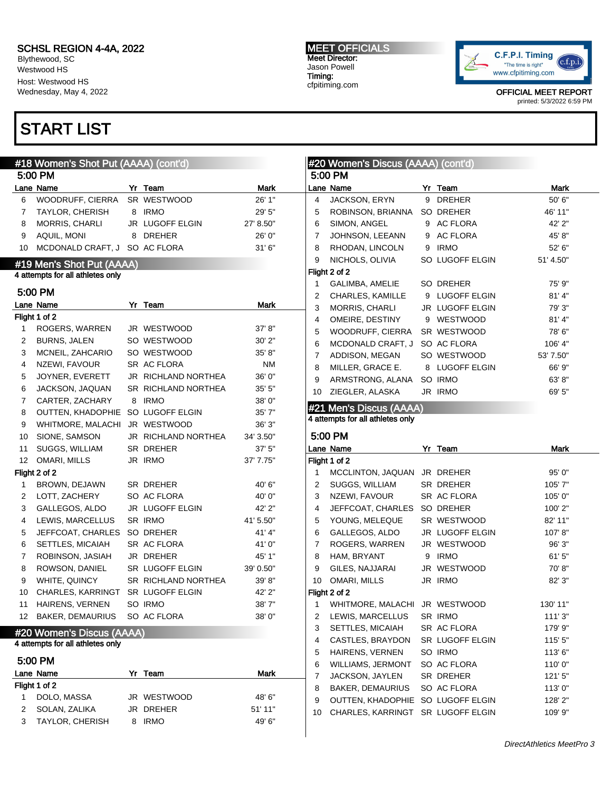Blythewood, SC Westwood HS Host: Westwood HS Wednesday, May 4, 2022

### START LIST

3 TAYLOR, CHERISH 8 IRMO 49' 6"

#### #18 Women's Shot Put (AAAA) (cont'd) 5:00 PM Lane Name **Mark** Yr Team **Mark** Mark 6 WOODRUFF, CIERRA SR WESTWOOD 26' 1" 7 TAYLOR, CHERISH 8 IRMO 29' 5" 8 MORRIS, CHARLI JR LUGOFF ELGIN 27' 8.50" 9 AQUIL, MONI 8 DREHER 26' 0" 10 MCDONALD CRAFT, J SO AC FLORA 31' 6" #19 Men's Shot Put (AAAA) 4 attempts for all athletes only 5:00 PM Lane Name **Name** Yr Team **Mark** Flight 1 of 2 1 ROGERS, WARREN JR WESTWOOD 37' 8" 2 BURNS, JALEN SO WESTWOOD 30' 2" 3 MCNEIL, ZAHCARIO SO WESTWOOD 35' 8" 4 NZEWI, FAVOUR SR AC FLORA NM 5 JOYNER, EVERETT JR RICHLAND NORTHEA 36' 0" 6 JACKSON, JAQUAN SR RICHLAND NORTHEA 35' 5" 7 CARTER, ZACHARY 8 IRMO 38' 0" 8 OUTTEN, KHADOPHIE SO LUGOFF ELGIN 35' 7" 9 WHITMORE, MALACHI JR WESTWOOD 36' 3" 10 SIONE, SAMSON JR RICHLAND NORTHEA 34' 3.50" 11 SUGGS, WILLIAM SR DREHER 37' 5" 12 OMARI, MILLS JR IRMO 37' 7.75" Flight 2 of 2 1 BROWN, DEJAWN SR DREHER 40' 6" 2 LOTT, ZACHERY SO AC FLORA 40' 0" 3 GALLEGOS, ALDO JR LUGOFF ELGIN 42' 2" 4 LEWIS, MARCELLUS SR IRMO 41'5.50" 5 JEFFCOAT, CHARLES SO DREHER 41' 4" 6 SETTLES, MICAIAH SR AC FLORA 41' 0" 7 ROBINSON, JASIAH JR DREHER 45' 1" 8 ROWSON, DANIEL SR LUGOFF ELGIN 39' 0.50" 9 WHITE, QUINCY SR RICHLAND NORTHEA 39' 8" 10 CHARLES, KARRINGT SR LUGOFF ELGIN 42' 2" 11 HAIRENS, VERNEN SO IRMO 38' 7" 12 BAKER, DEMAURIUS SO AC FLORA 38' 0" #20 Women's Discus (AAAA) 4 attempts for all athletes only 5:00 PM Lane Name **Mark** Yr Team **Mark** Mark Flight 1 of 2 1 DOLO, MASSA JR WESTWOOD 48' 6" 2 SOLAN, ZALIKA JR DREHER 51' 11" #20 Women's Discus (AAAA) (cont'd) 5:00 PM Lane Name **Name 1988** Yr Team 1988 Mark 4 JACKSON, ERYN 9 DREHER 50' 6" 5 ROBINSON, BRIANNA SO DREHER 46' 11" 6 SIMON, ANGEL 9 AC FLORA 42' 2" 7 JOHNSON, LEEANN 9 AC FLORA 45' 8" 8 RHODAN, LINCOLN 9 IRMO 52' 6" 9 NICHOLS, OLIVIA SO LUGOFF ELGIN 51' 4.50" Flight 2 of 2 1 GALIMBA, AMELIE SO DREHER 75' 9" 2 CHARLES, KAMILLE 9 LUGOFF ELGIN 81' 4" 3 MORRIS, CHARLI JR LUGOFF ELGIN 79' 3" 4 OMEIRE, DESTINY 9 WESTWOOD 81' 4" 5 WOODRUFF, CIERRA SR WESTWOOD 78' 6" 6 MCDONALD CRAFT, J SO AC FLORA 106' 4" 7 ADDISON, MEGAN SO WESTWOOD 53' 7.50" 8 MILLER, GRACE E. 8 LUGOFF ELGIN 66' 9" 9 ARMSTRONG, ALANA SO IRMO 63' 8" 10 ZIEGLER, ALASKA JR IRMO 69' 5" #21 Men's Discus (AAAA) 4 attempts for all athletes only 5:00 PM Lane Name **Name** Yr Team **Mark** Flight 1 of 2 1 MCCLINTON, JAQUAN JR DREHER 95' 0" 2 SUGGS, WILLIAM SR DREHER 105' 7" 3 NZEWI, FAVOUR SR AC FLORA 105' 0" 4 JEFFCOAT, CHARLES SO DREHER 100' 2" 5 YOUNG, MELEQUE SR WESTWOOD 82' 11" 6 GALLEGOS, ALDO JR LUGOFF ELGIN 107' 8" 7 ROGERS, WARREN JR WESTWOOD 96' 3" 8 HAM, BRYANT 9 IRMO 61' 5" 9 GILES, NAJJARAI JR WESTWOOD 70'8" 10 OMARI, MILLS JR IRMO 82' 3" Flight 2 of 2 1 WHITMORE, MALACHI JR WESTWOOD 130' 11" 2 LEWIS, MARCELLUS SR IRMO 111' 3" 3 SETTLES, MICAIAH SR AC FLORA 179' 9" 4 CASTLES, BRAYDON SR LUGOFF ELGIN 115' 5" 5 HAIRENS, VERNEN SO IRMO 113'6" 6 WILLIAMS, JERMONT SO AC FLORA 110' 0" 7 JACKSON, JAYLEN SR DREHER 121' 5" 8 BAKER, DEMAURIUS SO AC FLORA 113' 0" 9 OUTTEN, KHADOPHIE SO LUGOFF ELGIN 128' 2" 10 CHARLES, KARRINGT SR LUGOFF ELGIN 109' 9"



OFFICIAL MEET REPORT printed: 5/3/2022 6:59 PM

#### MEET OFFICIALS Meet Director: Jason Powell Timing: cfpitiming.com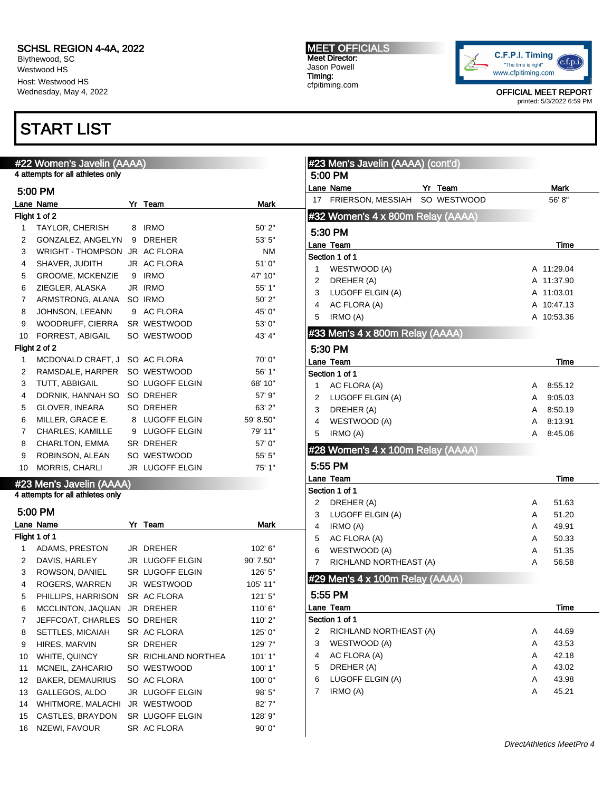Blythewood, SC Westwood HS Host: Westwood HS Wednesday, May 4, 2022

### START LIST

#### #22 Women's Javelin (AAAA) 4 attempts for all athletes only

|                | 5:00 PM                       |   |                     |           |
|----------------|-------------------------------|---|---------------------|-----------|
|                | Lane Name                     |   | Yr Team             | Mark      |
|                | Flight 1 of 2                 |   |                     |           |
| 1              | TAYLOR, CHERISH               | 8 | <b>IRMO</b>         | 50' 2"    |
| 2              | GONZALEZ, ANGELYN             | 9 | <b>DREHER</b>       | 53' 5"    |
| 3              | WRIGHT - THOMPSON JR AC FLORA |   |                     | <b>NM</b> |
| 4              | SHAVER, JUDITH                |   | JR AC FLORA         | 51'0"     |
| 5              | <b>GROOME, MCKENZIE</b>       | 9 | <b>IRMO</b>         | 47' 10"   |
| 6              | ZIEGLER, ALASKA               |   | JR IRMO             | 55' 1"    |
| $\overline{7}$ | ARMSTRONG, ALANA              |   | SO IRMO             | 50'2"     |
| 8              | JOHNSON, LEEANN               | 9 | <b>AC FLORA</b>     | 45' 0"    |
| 9              | WOODRUFF, CIERRA              |   | SR WESTWOOD         | 53' 0"    |
| 10             | FORREST, ABIGAIL              |   | SO WESTWOOD         | 43' 4"    |
|                | Flight 2 of 2                 |   |                     |           |
| 1              | MCDONALD CRAFT, J             |   | SO AC FLORA         | 70'0"     |
| 2              | RAMSDALE, HARPER              |   | SO WESTWOOD         | 56' 1"    |
| 3              | TUTT, ABBIGAIL                |   | SO LUGOFF ELGIN     | 68' 10"   |
| 4              | DORNIK, HANNAH SO             |   | SO DREHER           | 57' 9"    |
| 5              | GLOVER, INEARA                |   | SO DREHER           | 63' 2"    |
| 6              | MILLER, GRACE E.              | 8 | <b>LUGOFF ELGIN</b> | 59' 8.50" |
| $\overline{7}$ | CHARLES, KAMILLE              | 9 | <b>LUGOFF ELGIN</b> | 79' 11"   |
| 8              | CHARLTON, EMMA                |   | SR DREHER           | 57' 0"    |
| 9              | ROBINSON, ALEAN               |   | SO WESTWOOD         | 55' 5"    |
| 10             | MORRIS, CHARLI                |   | JR LUGOFF ELGIN     | 75' 1"    |

|                | 5:00 PM            |                     |           |
|----------------|--------------------|---------------------|-----------|
|                | Lane Name          | Yr Team             | Mark      |
|                | Flight 1 of 1      |                     |           |
| 1              | ADAMS, PRESTON     | JR DREHER           | 102' 6"   |
| 2              | DAVIS, HARLEY      | JR LUGOFF ELGIN     | 90' 7.50" |
| 3              | ROWSON, DANIEL     | SR LUGOFF ELGIN     | 126' 5"   |
| 4              | ROGERS, WARREN     | JR WESTWOOD         | 105' 11"  |
| 5              | PHILLIPS, HARRISON | SR AC FLORA         | 121'5''   |
| 6              | MCCLINTON, JAQUAN  | JR DREHER           | 110'6"    |
| $\overline{7}$ | JEFFCOAT, CHARLES  | SO DREHER           | 110' 2"   |
| 8              | SETTLES, MICAIAH   | SR AC FLORA         | 125' 0"   |
| 9              | HIRES, MARVIN      | SR DREHER           | 129'7"    |
| 10             | WHITE, QUINCY      | SR RICHLAND NORTHEA | 101'1"    |
| 11             | MCNEIL, ZAHCARIO   | SO WESTWOOD         | 100' 1"   |
| 12             | BAKER, DEMAURIUS   | SO AC FLORA         | 100'0"    |
| 13             | GALLEGOS, ALDO     | JR LUGOFF ELGIN     | 98' 5"    |
| 14             | WHITMORE, MALACHI  | JR WESTWOOD         | 82'7"     |
| 15             | CASTLES, BRAYDON   | SR LUGOFF ELGIN     | 128' 9"   |
| 16             | NZEWI, FAVOUR      | SR AC FLORA         | 90'0"     |

#### MEET OFFICIALS Meet Director: Jason Powell Timing: cfpitiming.com

5:00 PM

#23 Men's Javelin (AAAA) (cont'd)

#32 Women's 4 x 800m Relay (AAAA)

Lane Name **Mark** Yr Team **Mark** Mark 17 FRIERSON, MESSIAH SO WESTWOOD 56'8"



OFFICIAL MEET REPORT printed: 5/3/2022 6:59 PM

|   | 5:30 PM                           |   |            |
|---|-----------------------------------|---|------------|
|   | Lane Team                         |   | Time       |
|   | Section 1 of 1                    |   |            |
| 1 | WESTWOOD (A)                      |   | A 11:29.04 |
| 2 | DREHER (A)                        |   | A 11:37.90 |
| 3 | LUGOFF ELGIN (A)                  |   | A 11:03.01 |
| 4 | AC FLORA (A)                      |   | A 10:47.13 |
| 5 | IRMO (A)                          |   | A 10:53.36 |
|   | #33 Men's 4 x 800m Relay (AAAA)   |   |            |
|   | 5:30 PM                           |   |            |
|   | Lane Team                         |   | Time       |
|   | Section 1 of 1                    |   |            |
| 1 | AC FLORA (A)                      | A | 8:55.12    |
| 2 | LUGOFF ELGIN (A)                  | A | 9:05.03    |
| 3 | DREHER (A)                        | A | 8:50.19    |
| 4 | WESTWOOD (A)                      | A | 8:13.91    |
| 5 | IRMO (A)                          | A | 8:45.06    |
|   | #28 Women's 4 x 100m Relay (AAAA) |   |            |
|   | 5:55 PM                           |   |            |
|   | Lane Team                         |   | Time       |
|   | Section 1 of 1                    |   |            |
| 2 | DREHER (A)                        | A | 51.63      |
| 3 | LUGOFF ELGIN (A)                  | A | 51.20      |
| 4 | IRMO (A)                          | A | 49.91      |
| 5 | AC FLORA (A)                      | A | 50.33      |

#### #29 Men's 4 x 100m Relay (AAAA)

|   | 5:55 PM                |   |       |
|---|------------------------|---|-------|
|   | Lane Team              |   | Time  |
|   | Section 1 of 1         |   |       |
| 2 | RICHLAND NORTHEAST (A) | A | 44.69 |
| 3 | WESTWOOD (A)           | A | 43.53 |
| 4 | AC FLORA (A)           | A | 42.18 |
| 5 | DREHER (A)             | A | 43.02 |
| 6 | LUGOFF ELGIN (A)       | A | 43.98 |
|   | IRMO (A)               | A | 45.21 |
|   |                        |   |       |

6 WESTWOOD (A) 2012 12:35 7 RICHLAND NORTHEAST (A) A 56.58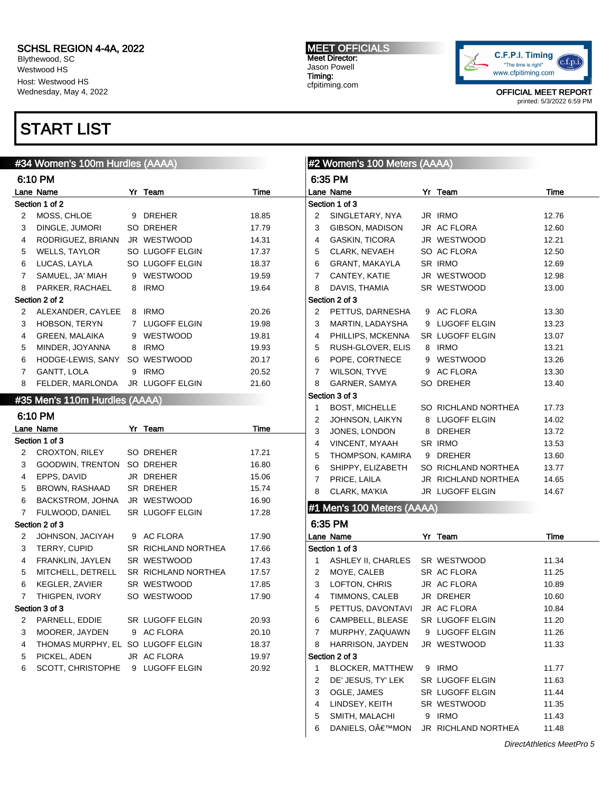Blythewood, SC Westwood HS Host: Westwood HS Wednesday, May 4, 2022

### START LIST

#### #34 Women's 100m Hurdles (AAAA)

|                | 6:10 PM                       |              |                        |       |
|----------------|-------------------------------|--------------|------------------------|-------|
|                | Lane Name                     | Yr           | Team                   | Time  |
|                | Section 1 of 2                |              |                        |       |
| 2              | MOSS, CHLOE                   | 9            | <b>DREHER</b>          | 18.85 |
| 3              | DINGLE, JUMORI                |              | SO DREHER              | 17.79 |
| 4              | RODRIGUEZ, BRIANN             |              | JR WESTWOOD            | 14.31 |
| 5              | <b>WELLS, TAYLOR</b>          |              | SO LUGOFF ELGIN        | 17.37 |
| 6              | LUCAS, LAYLA                  |              | SO LUGOFF ELGIN        | 18.37 |
| $\overline{7}$ | SAMUEL, JA' MIAH              | 9            | <b>WESTWOOD</b>        | 19.59 |
| 8              | PARKER, RACHAEL               | 8            | <b>IRMO</b>            | 19.64 |
|                | Section 2 of 2                |              |                        |       |
| 2              | ALEXANDER, CAYLEE             | 8            | <b>IRMO</b>            | 20.26 |
| 3              | HOBSON, TERYN                 | $\mathbf{7}$ | <b>LUGOFF ELGIN</b>    | 19.98 |
| 4              | <b>GREEN, MALAIKA</b>         | 9            | <b>WESTWOOD</b>        | 19.81 |
| 5              | MINDER, JOYANNA               | 8            | <b>IRMO</b>            | 19.93 |
| 6              | HODGE-LEWIS, SANY SO WESTWOOD |              |                        | 20.17 |
| 7              | GANTT, LOLA                   | 9            | <b>IRMO</b>            | 20.52 |
| 8              | FELDER, MARLONDA              |              | <b>JR LUGOFF ELGIN</b> | 21.60 |

#### #35 Men's 110m Hurdles (AAAA)

#### 6:10 PM Lane Name **Yr Team** 7 and 1975 Section 1 of 3 2 CROXTON, RILEY SO DREHER 17.21 3 GOODWIN, TRENTON SO DREHER 16.80 4 EPPS, DAVID JR DREHER 15.06 5 BROWN, RASHAAD SR DREHER 15.74 6 BACKSTROM, JOHNA JR WESTWOOD 16.90 7 FULWOOD, DANIEL SR LUGOFF ELGIN 17.28 Section 2 of 3 2 JOHNSON, JACIYAH 9 AC FLORA 17.90 3 TERRY, CUPID SR RICHLAND NORTHEA 17.66 4 FRANKLIN, JAYLEN SR WESTWOOD 17.43 5 MITCHELL, DETRELL SR RICHLAND NORTHEA 17.57 6 KEGLER, ZAVIER SR WESTWOOD 17.85 7 THIGPEN, IVORY SO WESTWOOD 17.90 Section 3 of 3 2 PARNELL, EDDIE SR LUGOFF ELGIN 20.93 3 MOORER, JAYDEN 9 AC FLORA 20.10 4 THOMAS MURPHY, EL SO LUGOFF ELGIN 18.37 5 PICKEL, ADEN JR AC FLORA 19.97 6 SCOTT, CHRISTOPHE 9 LUGOFF ELGIN 20.92

MEET OFFICIALS Meet Director: Jason Powell Timing: cfpitiming.com



OFFICIAL MEET REPORT printed: 5/3/2022 6:59 PM

#### #2 Women's 100 Meters (AAAA) 6:35 PM Lane Name Yr Team Time Section 1 of 3 2 SINGLETARY, NYA JR IRMO 12.76 3 GIBSON, MADISON JR AC FLORA 12.60 4 GASKIN, TICORA JR WESTWOOD 12.21 5 CLARK, NEVAEH SO AC FLORA 12.50 6 GRANT, MAKAYLA SR IRMO 12.69 7 CANTEY, KATIE JR WESTWOOD 12.98 8 DAVIS, THAMIA SR WESTWOOD 13.00 Section 2 of 3 2 PETTUS, DARNESHA 9 AC FLORA 13.30 3 MARTIN, LADAYSHA 9 LUGOFF ELGIN 13.23 4 PHILLIPS, MCKENNA SR LUGOFF ELGIN 13.07 5 RUSH-GLOVER, ELIS 8 IRMO 13.21 6 POPE, CORTNECE 9 WESTWOOD 13.26 7 WILSON, TYVE 9 AC FLORA 13.30 8 GARNER, SAMYA SO DREHER 13.40 Section 3 of 3 1 BOST, MICHELLE SO RICHLAND NORTHEA 17.73 2 JOHNSON, LAIKYN 8 LUGOFF ELGIN 14.02 3 JONES, LONDON 8 DREHER 13.72 4 VINCENT, MYAAH SR IRMO 13.53 5 THOMPSON, KAMIRA 9 DREHER 13.60 6 SHIPPY, ELIZABETH SO RICHLAND NORTHEA 13.77 7 PRICE, LAILA JR RICHLAND NORTHEA 14.65 8 CLARK, MA'KIA JR LUGOFF ELGIN 14.67 #1 Men's 100 Meters (AAAA) 6:35 PM Lane Name Yr Team Time Section 1 of 3 1 ASHLEY II, CHARLES SR WESTWOOD 11.34 2 MOYE, CALEB SR AC FLORA 11.25 3 LOFTON, CHRIS JR AC FLORA 10.89 4 TIMMONS, CALEB JR DREHER 10.60 5 PETTUS, DAVONTAVI JR AC FLORA 10.84 6 CAMPBELL, BLEASE SR LUGOFF ELGIN 11.20 7 MURPHY, ZAQUAWN 9 LUGOFF ELGIN 11.26 8 HARRISON, JAYDEN JR WESTWOOD 11.33 Section 2 of 3 1 BLOCKER, MATTHEW 9 IRMO 11.77 2 DE' JESUS, TY' LEK SR LUGOFF ELGIN 11.63 3 OGLE, JAMES SR LUGOFF ELGIN 11.44 4 LINDSEY, KEITH SR WESTWOOD 11.35 5 SMITH, MALACHI 9 IRMO 11.43

6 DANIELS, O€™MON JR RICHLAND NORTHEA 11.48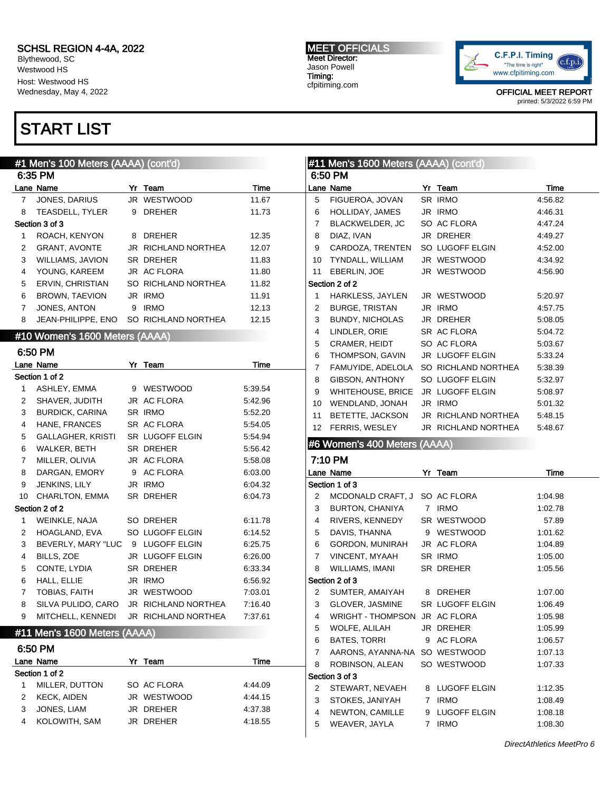Blythewood, SC Westwood HS Host: Westwood HS Wednesday, May 4, 2022

# START LIST

#### MEET OFFICIALS Meet Director: Jason Powell Timing: cfpitiming.com



OFFICIAL MEET REPORT printed: 5/3/2022 6:59 PM

|    | #1 Men's 100 Meters (AAAA) (cont'd) |                     |         |                | #11 Men's 1600 Meters (AAAA) (cont'd) |                     |         |
|----|-------------------------------------|---------------------|---------|----------------|---------------------------------------|---------------------|---------|
|    | 6:35 PM                             |                     |         |                | 6:50 PM                               |                     |         |
|    | Lane Name                           | Yr Team             | Time    |                | Lane Name                             | Yr Team             | Time    |
| 7  | JONES, DARIUS                       | JR WESTWOOD         | 11.67   | 5              | FIGUEROA, JOVAN                       | SR IRMO             | 4:56.82 |
| 8  | TEASDELL, TYLER                     | 9 DREHER            | 11.73   | 6              | HOLLIDAY, JAMES                       | JR IRMO             | 4:46.31 |
|    | Section 3 of 3                      |                     |         | $\overline{7}$ | BLACKWELDER, JC                       | SO AC FLORA         | 4:47.24 |
| 1  | ROACH, KENYON                       | 8 DREHER            | 12.35   | 8              | DIAZ, IVAN                            | JR DREHER           | 4:49.27 |
| 2  | <b>GRANT, AVONTE</b>                | JR RICHLAND NORTHEA | 12.07   | 9              | CARDOZA, TRENTEN                      | SO LUGOFF ELGIN     | 4:52.00 |
| 3  | <b>WILLIAMS, JAVION</b>             | SR DREHER           | 11.83   | 10             | TYNDALL, WILLIAM                      | JR WESTWOOD         | 4:34.92 |
| 4  | YOUNG, KAREEM                       | JR AC FLORA         | 11.80   | 11             | EBERLIN, JOE                          | JR WESTWOOD         | 4:56.90 |
| 5  | ERVIN, CHRISTIAN                    | SO RICHLAND NORTHEA | 11.82   |                | Section 2 of 2                        |                     |         |
| 6  | <b>BROWN, TAEVION</b>               | JR IRMO             | 11.91   | $\mathbf{1}$   | HARKLESS, JAYLEN                      | JR WESTWOOD         | 5:20.97 |
| 7  | JONES, ANTON                        | 9 IRMO              | 12.13   | $\overline{2}$ | <b>BURGE, TRISTAN</b>                 | JR IRMO             | 4:57.75 |
| 8  | JEAN-PHILIPPE, ENO                  | SO RICHLAND NORTHEA | 12.15   | 3              | <b>BUNDY, NICHOLAS</b>                | JR DREHER           | 5:08.05 |
|    | #10 Women's 1600 Meters (AAAA)      |                     |         | 4              | LINDLER, ORIE                         | SR AC FLORA         | 5:04.72 |
|    |                                     |                     |         | 5              | CRAMER, HEIDT                         | SO AC FLORA         | 5:03.67 |
|    | 6:50 PM                             |                     |         | 6              | THOMPSON, GAVIN                       | JR LUGOFF ELGIN     | 5.33.24 |
|    | Lane Name                           | Yr Team             | Time    | 7              | FAMUYIDE, ADELOLA                     | SO RICHLAND NORTHEA | 5:38.39 |
|    | Section 1 of 2                      |                     |         | 8              | GIBSON, ANTHONY                       | SO LUGOFF ELGIN     | 5:32.97 |
| 1  | ASHLEY, EMMA                        | 9 WESTWOOD          | 5.39.54 | 9              | <b>WHITEHOUSE, BRICE</b>              | JR LUGOFF ELGIN     | 5:08.97 |
| 2  | SHAVER, JUDITH                      | JR AC FLORA         | 5:42.96 | 10             | WENDLAND, JONAH                       | JR IRMO             | 5:01.32 |
| 3  | <b>BURDICK, CARINA</b>              | SR IRMO             | 5:52.20 | 11             | BETETTE, JACKSON                      | JR RICHLAND NORTHEA | 5:48.15 |
| 4  | HANE, FRANCES                       | SR AC FLORA         | 5:54.05 |                | 12 FERRIS, WESLEY                     | JR RICHLAND NORTHEA | 5:48.67 |
| 5  | <b>GALLAGHER, KRISTI</b>            | SR LUGOFF ELGIN     | 5:54.94 |                | #6 Women's 400 Meters (AAAA)          |                     |         |
| 6  | WALKER, BETH                        | SR DREHER           | 5:56.42 |                |                                       |                     |         |
| 7  | MILLER, OLIVIA                      | JR AC FLORA         | 5:58.08 |                | 7:10 PM                               |                     |         |
| 8  | DARGAN, EMORY                       | 9 AC FLORA          | 6:03.00 |                | Lane Name                             | Yr Team             | Time    |
|    |                                     | JR IRMO             | 6:04.32 |                | Section 1 of 3                        |                     |         |
| 9  | JENKINS, LILY                       |                     |         |                |                                       |                     |         |
| 10 | CHARLTON, EMMA                      | SR DREHER           | 6:04.73 | 2              | MCDONALD CRAFT, J SO AC FLORA         |                     | 1:04.98 |
|    | Section 2 of 2                      |                     |         | 3              | <b>BURTON, CHANIYA</b>                | 7 IRMO              | 1:02.78 |
| 1  | WEINKLE, NAJA                       | SO DREHER           | 6:11.78 | 4              | RIVERS, KENNEDY                       | SR WESTWOOD         | 57.89   |
| 2  | HOAGLAND, EVA                       | SO LUGOFF ELGIN     | 6:14.52 | 5              | DAVIS, THANNA                         | 9 WESTWOOD          | 1:01.62 |
| 3  | BEVERLY, MARY "LUC                  | 9 LUGOFF ELGIN      | 6:25.75 | 6              | GORDON, MUNIRAH                       | JR AC FLORA         | 1:04.89 |
| 4  | BILLS, ZOE                          | JR LUGOFF ELGIN     | 6:26.00 | 7              | VINCENT, MYAAH                        | SR IRMO             | 1:05.00 |
| 5  | CONTE, LYDIA                        | SR DREHER           | 6:33.34 | 8              | WILLIAMS, IMANI                       | SR DREHER           | 1:05.56 |
| 6  | HALL, ELLIE                         | JR IRMO             | 6:56.92 |                | Section 2 of 3                        |                     |         |
| 7  | TOBIAS, FAITH                       | JR WESTWOOD         | 7:03.01 | 2              | SUMTER, AMAIYAH                       | 8 DREHER            | 1:07.00 |
| 8  | SILVA PULIDO, CARO                  | JR RICHLAND NORTHEA | 7:16.40 | 3              | GLOVER, JASMINE                       | SR LUGOFF ELGIN     | 1:06.49 |
| 9  | MITCHELL, KENNEDI                   | JR RICHLAND NORTHEA | 7:37.61 | 4              | WRIGHT - THOMPSON JR AC FLORA         |                     | 1:05.98 |
|    |                                     |                     |         | 5              | WOLFE, ALILAH                         | JR DREHER           | 1:05.99 |
|    | #11 Men's 1600 Meters (AAAA)        |                     |         | 6              | <b>BATES, TORRI</b>                   | 9 AC FLORA          | 1:06.57 |
|    | 6:50 PM                             |                     |         | 7              | AARONS, AYANNA-NA SO WESTWOOD         |                     | 1:07.13 |
|    | Lane Name                           | Yr Team             | Time    | 8              | ROBINSON, ALEAN                       | SO WESTWOOD         | 1:07.33 |
|    | Section 1 of 2                      |                     |         |                | Section 3 of 3                        |                     |         |
| 1  | MILLER, DUTTON                      | SO AC FLORA         | 4:44.09 | 2              | STEWART, NEVAEH                       | 8 LUGOFF ELGIN      | 1:12.35 |
| 2  | <b>KECK, AIDEN</b>                  | JR WESTWOOD         | 4:44.15 | 3              | STOKES, JANIYAH                       | 7 IRMO              | 1:08.49 |
| 3  | JONES, LIAM                         | JR DREHER           | 4:37.38 | 4              | NEWTON, CAMILLE                       | 9 LUGOFF ELGIN      | 1:08.18 |
| 4  | KOLOWITH, SAM                       | JR DREHER           | 4:18.55 | 5              | WEAVER, JAYLA                         | 7 IRMO              | 1:08.30 |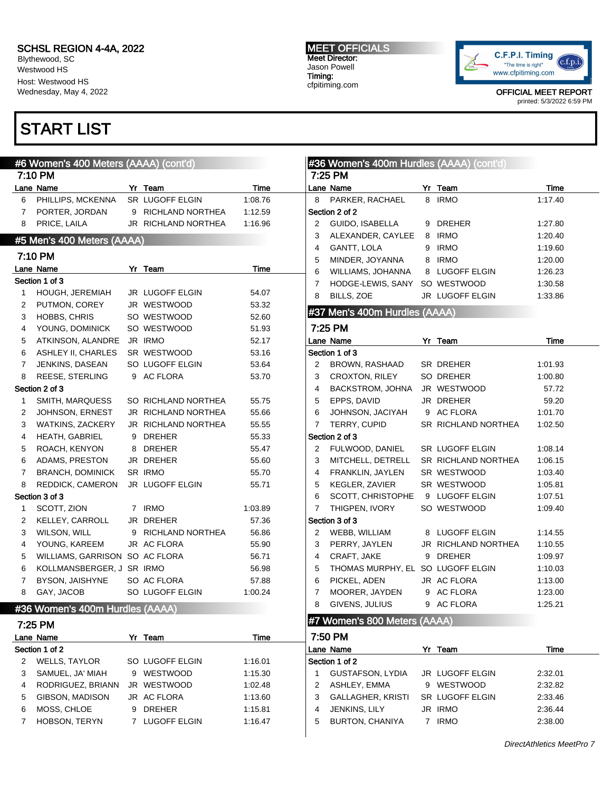Blythewood, SC Westwood HS Host: Westwood HS Wednesday, May 4, 2022

### START LIST

#### #6 Women's 400 Meters (AAAA) (cont'd) 7:10 PM Lane Name **Yr Team** Time 6 PHILLIPS, MCKENNA SR LUGOFF ELGIN 1:08.76 7 PORTER, JORDAN 9 RICHLAND NORTHEA 1:12.59 8 PRICE, LAILA JR RICHLAND NORTHEA 1:16.96 #5 Men's 400 Meters (AAAA) 7:10 PM Lane Name **Time Yr** Team **Time** Section 1 of 3 1 HOUGH, JEREMIAH JR LUGOFF ELGIN 54.07 2 PUTMON, COREY JR WESTWOOD 53.32 3 HOBBS, CHRIS SO WESTWOOD 52.60 4 YOUNG, DOMINICK SO WESTWOOD 51.93 5 ATKINSON, ALANDRE JR IRMO 52.17 6 ASHLEY II, CHARLES SR WESTWOOD 53.16 7 JENKINS, DASEAN SO LUGOFF ELGIN 53.64 8 REESE, STERLING 9 AC FLORA 53.70 Section 2 of 3 1 SMITH, MARQUESS SO RICHLAND NORTHEA 55.75 2 JOHNSON, ERNEST JR RICHLAND NORTHEA 55.66 3 WATKINS, ZACKERY JR RICHLAND NORTHEA 55.55 4 HEATH, GABRIEL 9 DREHER 55.33 5 ROACH, KENYON 8 DREHER 55.47 6 ADAMS, PRESTON JR DREHER 55.60 7 BRANCH, DOMINICK SR IRMO 55.70 8 REDDICK, CAMERON JR LUGOFF ELGIN 55.71 Section 3 of 3 1 SCOTT, ZION 7 IRMO 1:03.89 2 KELLEY, CARROLL JR DREHER 57.36 3 WILSON, WILL 9 RICHLAND NORTHEA 56.86 4 YOUNG, KAREEM JR AC FLORA 55.90 5 WILLIAMS, GARRISON SO AC FLORA 56.71 6 KOLLMANSBERGER, J SR IRMO 56.98 7 BYSON, JAISHYNE SO AC FLORA 57.88 8 GAY, JACOB SO LUGOFF ELGIN 1:00.24 #36 Women's 400m Hurdles (AAAA) 7:25 PM Lane Name **Time Yr** Team **Time** Section 1 of 2 2 WELLS, TAYLOR SO LUGOFF ELGIN 1:16.01 3 SAMUEL, JA' MIAH 9 WESTWOOD 1:15.30 4 RODRIGUEZ, BRIANN JR WESTWOOD 1:02.48 5 GIBSON, MADISON JR AC FLORA 1:13.60 6 MOSS, CHLOE 9 DREHER 1:15.81 7 HOBSON, TERYN 7 LUGOFF ELGIN 1:16.47 #36 Women's 400m Hurdles (AAAA) (cont'd) 7:25 PM Lane Name Yr Team Time 8 PARKER, RACHAEL 8 IRMO 1:17.40 Section 2 of 2 2 GUIDO, ISABELLA 9 DREHER 1:27.80 3 ALEXANDER, CAYLEE 8 IRMO 1:20.40 4 GANTT, LOLA 9 IRMO 1:19.60 5 MINDER, JOYANNA 8 IRMO 1:20.00 6 WILLIAMS, JOHANNA 8 LUGOFF ELGIN 1:26.23 7 HODGE-LEWIS, SANY SO WESTWOOD 1:30.58 8 BILLS, ZOE JR LUGOFF ELGIN 1:33.86 #37 Men's 400m Hurdles (AAAA) 7:25 PM Lane Name Yr Team Time Section 1 of 3 2 BROWN, RASHAAD SR DREHER 1:01.93 3 CROXTON, RILEY SO DREHER 1:00.80 4 BACKSTROM, JOHNA JR WESTWOOD 57.72 5 EPPS, DAVID JR DREHER 59.20 6 JOHNSON, JACIYAH 9 AC FLORA 1:01.70 7 TERRY, CUPID SR RICHLAND NORTHEA 1:02.50 Section 2 of 3 2 FULWOOD, DANIEL SR LUGOFF ELGIN 1:08.14 3 MITCHELL, DETRELL SR RICHLAND NORTHEA 1:06.15 4 FRANKLIN, JAYLEN SR WESTWOOD 1:03.40 5 KEGLER, ZAVIER SR WESTWOOD 1:05.81 6 SCOTT, CHRISTOPHE 9 LUGOFF ELGIN 1:07.51 7 THIGPEN, IVORY SO WESTWOOD 1:09.40 Section 3 of 3 2 WEBB, WILLIAM 8 LUGOFF ELGIN 1:14.55 3 PERRY, JAYLEN JR RICHLAND NORTHEA 1:10.55 4 CRAFT, JAKE 9 DREHER 1:09.97 5 THOMAS MURPHY, EL SO LUGOFF ELGIN 1:10.03 6 PICKEL, ADEN JR AC FLORA 1:13.00 7 MOORER, JAYDEN 9 AC FLORA 1:23.00 8 GIVENS, JULIUS 9 AC FLORA 1:25.21 #7 Women's 800 Meters (AAAA) 7:50 PM Lane Name Yr Team Time Section 1 of 2 1 GUSTAFSON, LYDIA JR LUGOFF ELGIN 2:32.01 2 ASHLEY, EMMA 9 WESTWOOD 2:32.82 3 GALLAGHER, KRISTI SR LUGOFF ELGIN 2:33.46 4 JENKINS, LILY JR IRMO 2:36.44 5 BURTON, CHANIYA 7 IRMO 2:38.00

MEET OFFICIALS Meet Director: Jason Powell Timing: cfpitiming.com



OFFICIAL MEET REPORT printed: 5/3/2022 6:59 PM

DirectAthletics MeetPro 7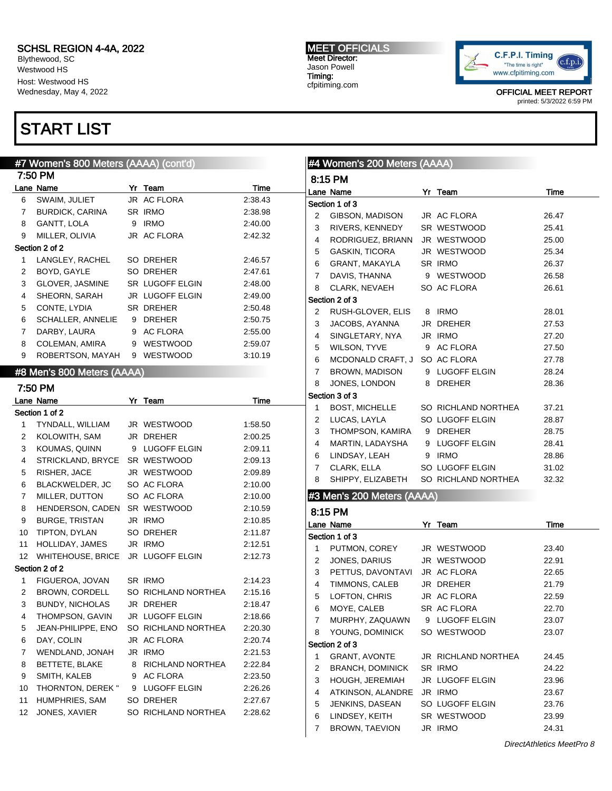Blythewood, SC Westwood HS Host: Westwood HS Wednesday, May 4, 2022

## START LIST

### MEET OFFICIALS Meet Director: Jason Powell Timing: cfpitiming.com



OFFICIAL MEET REPORT printed: 5/3/2022 6:59 PM

|              | #7 Women's 800 Meters (AAAA) (cont'd) |                        |         |                | #4 Women's 200 Meters (AAAA) |                     |       |
|--------------|---------------------------------------|------------------------|---------|----------------|------------------------------|---------------------|-------|
|              | 7:50 PM                               |                        |         |                | 8:15 PM                      |                     |       |
|              | Lane Name                             | Yr Team                | Time    |                | Lane Name                    | Yr Team             | Time  |
| 6            | SWAIM, JULIET                         | JR AC FLORA            | 2:38.43 |                | Section 1 of 3               |                     |       |
| 7            | <b>BURDICK, CARINA</b>                | SR IRMO                | 2:38.98 | 2              | GIBSON, MADISON              | JR AC FLORA         | 26.47 |
| 8            | GANTT, LOLA                           | 9 IRMO                 | 2:40.00 | 3              | RIVERS, KENNEDY              | SR WESTWOOD         | 25.41 |
| 9            | MILLER, OLIVIA                        | JR AC FLORA            | 2:42.32 | $\overline{4}$ | RODRIGUEZ, BRIANN            | JR WESTWOOD         | 25.00 |
|              | Section 2 of 2                        |                        |         | 5              | <b>GASKIN, TICORA</b>        | JR WESTWOOD         | 25.34 |
| 1            | LANGLEY, RACHEL                       | SO DREHER              | 2:46.57 | 6              | GRANT, MAKAYLA               | SR IRMO             | 26.37 |
| 2            | BOYD, GAYLE                           | SO DREHER              | 2:47.61 | 7              | DAVIS, THANNA                | 9 WESTWOOD          | 26.58 |
| 3            | GLOVER, JASMINE                       | <b>SR LUGOFF ELGIN</b> | 2:48.00 | 8              | CLARK, NEVAEH                | SO AC FLORA         | 26.61 |
| 4            | SHEORN, SARAH                         | JR LUGOFF ELGIN        | 2:49.00 |                | Section 2 of 3               |                     |       |
| 5            | CONTE, LYDIA                          | SR DREHER              | 2:50.48 | 2              | RUSH-GLOVER, ELIS            | 8 IRMO              | 28.01 |
| 6            | SCHALLER, ANNELIE                     | 9 DREHER               | 2:50.75 | 3              | JACOBS, AYANNA               | JR DREHER           | 27.53 |
| $\mathbf{7}$ | DARBY, LAURA                          | 9 AC FLORA             | 2:55.00 | $\overline{4}$ | SINGLETARY, NYA              | JR IRMO             | 27.20 |
| 8            | COLEMAN, AMIRA                        | 9 WESTWOOD             | 2:59.07 | 5              | WILSON, TYVE                 | 9 AC FLORA          | 27.50 |
| 9            | ROBERTSON, MAYAH                      | 9 WESTWOOD             | 3:10.19 |                |                              | SO AC FLORA         |       |
|              |                                       |                        |         | 6              | MCDONALD CRAFT, J            |                     | 27.78 |
|              | #8 Men's 800 Meters (AAAA)            |                        |         | 7              | BROWN, MADISON               | 9 LUGOFF ELGIN      | 28.24 |
|              | 7:50 PM                               |                        |         | 8              | JONES, LONDON                | 8 DREHER            | 28.36 |
|              | Lane Name                             | Yr Team                | Time    |                | Section 3 of 3               |                     |       |
|              | Section 1 of 2                        |                        |         | 1              | <b>BOST, MICHELLE</b>        | SO RICHLAND NORTHEA | 37.21 |
| 1            | TYNDALL, WILLIAM                      | JR WESTWOOD            | 1:58.50 | 2              | LUCAS, LAYLA                 | SO LUGOFF ELGIN     | 28.87 |
| 2            | KOLOWITH, SAM                         | JR DREHER              | 2:00.25 | 3              | THOMPSON, KAMIRA             | 9 DREHER            | 28.75 |
| 3            | KOUMAS, QUINN                         | 9 LUGOFF ELGIN         | 2:09.11 | $\overline{4}$ | MARTIN, LADAYSHA             | 9 LUGOFF ELGIN      | 28.41 |
| 4            | STRICKLAND, BRYCE SR WESTWOOD         |                        | 2:09.13 | 6              | LINDSAY, LEAH                | 9 IRMO              | 28.86 |
| 5            | RISHER, JACE                          | JR WESTWOOD            | 2:09.89 | 7              | CLARK, ELLA                  | SO LUGOFF ELGIN     | 31.02 |
| 6            | BLACKWELDER, JC                       | SO AC FLORA            | 2:10.00 | 8              | SHIPPY, ELIZABETH            | SO RICHLAND NORTHEA | 32.32 |
| 7            | MILLER, DUTTON                        | SO AC FLORA            | 2:10.00 |                | #3 Men's 200 Meters (AAAA)   |                     |       |
| 8            | HENDERSON, CADEN                      | SR WESTWOOD            | 2:10.59 |                | 8:15 PM                      |                     |       |
| 9            | <b>BURGE, TRISTAN</b>                 | JR IRMO                | 2:10.85 |                |                              |                     |       |
| 10           | TIPTON, DYLAN                         | SO DREHER              | 2:11.87 |                | Lane Name                    | Yr Team             | Time  |
| 11           | HOLLIDAY, JAMES                       | JR IRMO                | 2:12.51 |                | Section 1 of 3               |                     |       |
|              | 12 WHITEHOUSE, BRICE JR LUGOFF ELGIN  |                        | 2:12.73 | 1              | PUTMON, COREY                | JR WESTWOOD         | 23.40 |
|              | Section 2 of 2                        |                        |         | 2              | JONES, DARIUS                | JR WESTWOOD         | 22.91 |
| 1            | FIGUEROA, JOVAN                       | SR IRMO                | 2:14.23 | 3              | PETTUS, DAVONTAVI            | JR AC FLORA         | 22.65 |
| $\mathbf{2}$ | <b>BROWN, CORDELL</b>                 | SO RICHLAND NORTHEA    | 2:15.16 | $\overline{4}$ | TIMMONS, CALEB               | JR DREHER           | 21.79 |
|              | BUNDY, NICHOLAS                       | JR DREHER              | 2:18.47 | 5              | LOFTON, CHRIS                | JR AC FLORA         | 22.59 |
| 4            | THOMPSON, GAVIN                       | JR LUGOFF ELGIN        | 2:18.66 | 6              | MOYE, CALEB                  | SR AC FLORA         | 22.70 |
| 5            | JEAN-PHILIPPE, ENO                    | SO RICHLAND NORTHEA    | 2:20.30 | 7              | MURPHY, ZAQUAWN              | 9 LUGOFF ELGIN      | 23.07 |
| 6            | DAY, COLIN                            | JR AC FLORA            | 2:20.74 | 8              | YOUNG, DOMINICK              | SO WESTWOOD         | 23.07 |
| 7            | WENDLAND, JONAH                       | JR IRMO                | 2:21.53 |                | Section 2 of 3               |                     |       |
|              | BETTETE, BLAKE                        |                        |         | 1              | <b>GRANT, AVONTE</b>         | JR RICHLAND NORTHEA | 24.45 |
| 8            |                                       | 8 RICHLAND NORTHEA     | 2:22.84 | 2              | <b>BRANCH, DOMINICK</b>      | SR IRMO             | 24.22 |
| 9            | SMITH, KALEB                          | 9 AC FLORA             | 2:23.50 | 3              | <b>HOUGH, JEREMIAH</b>       | JR LUGOFF ELGIN     | 23.96 |
| 10           | THORNTON, DEREK "                     | 9 LUGOFF ELGIN         | 2:26.26 | 4              | ATKINSON, ALANDRE            | JR IRMO             | 23.67 |
| 11           | HUMPHRIES, SAM                        | SO DREHER              | 2:27.67 | 5              | JENKINS, DASEAN              | SO LUGOFF ELGIN     | 23.76 |
| 12           | JONES, XAVIER                         | SO RICHLAND NORTHEA    | 2:28.62 | 6              | LINDSEY, KEITH               | SR WESTWOOD         | 23.99 |
|              |                                       |                        |         | 7              | BROWN, TAEVION               | JR IRMO             | 24.31 |
|              |                                       |                        |         |                |                              |                     |       |